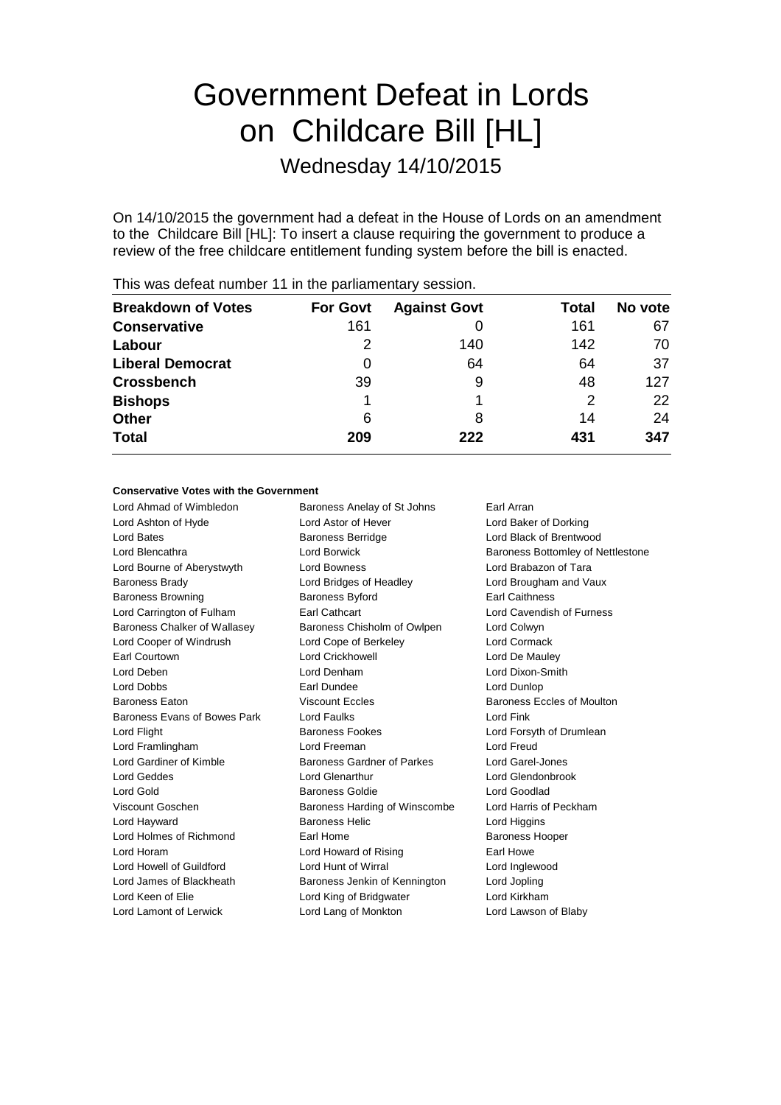# Government Defeat in Lords on Childcare Bill [HL]

Wednesday 14/10/2015

On 14/10/2015 the government had a defeat in the House of Lords on an amendment to the Childcare Bill [HL]: To insert a clause requiring the government to produce a review of the free childcare entitlement funding system before the bill is enacted.

| <b>Breakdown of Votes</b> | <b>For Govt</b> | <b>Against Govt</b> | Total | No vote |
|---------------------------|-----------------|---------------------|-------|---------|
| <b>Conservative</b>       | 161             |                     | 161   | 67      |
| Labour                    | 2               | 140                 | 142   | 70      |
| <b>Liberal Democrat</b>   | 0               | 64                  | 64    | 37      |
| <b>Crossbench</b>         | 39              | 9                   | 48    | 127     |
| <b>Bishops</b>            |                 |                     | 2     | 22      |
| <b>Other</b>              | 6               | 8                   | 14    | 24      |
| <b>Total</b>              | 209             | 222                 | 431   | 347     |
|                           |                 |                     |       |         |

This was defeat number 11 in the parliamentary session.

# **Conservative Votes with the Government**

| Baroness Anelay of St Johns   | Earl Arran                               |
|-------------------------------|------------------------------------------|
| Lord Astor of Hever           | Lord Baker of Dorking                    |
| <b>Baroness Berridge</b>      | Lord Black of Brentwood                  |
| Lord Borwick                  | <b>Baroness Bottomley of Nettlestone</b> |
| Lord Bowness                  | Lord Brabazon of Tara                    |
| Lord Bridges of Headley       | Lord Brougham and Vaux                   |
| <b>Baroness Byford</b>        | <b>Earl Caithness</b>                    |
| <b>Earl Cathcart</b>          | Lord Cavendish of Furness                |
| Baroness Chisholm of Owlpen   | Lord Colwyn                              |
| Lord Cope of Berkeley         | Lord Cormack                             |
| <b>Lord Crickhowell</b>       | Lord De Mauley                           |
| Lord Denham                   | Lord Dixon-Smith                         |
| Earl Dundee                   | Lord Dunlop                              |
| <b>Viscount Eccles</b>        | Baroness Eccles of Moulton               |
| Lord Faulks                   | Lord Fink                                |
| <b>Baroness Fookes</b>        | Lord Forsyth of Drumlean                 |
| Lord Freeman                  | Lord Freud                               |
| Baroness Gardner of Parkes    | Lord Garel-Jones                         |
| Lord Glenarthur               | Lord Glendonbrook                        |
| Baroness Goldie               | Lord Goodlad                             |
| Baroness Harding of Winscombe | Lord Harris of Peckham                   |
| <b>Baroness Helic</b>         | Lord Higgins                             |
| Earl Home                     | <b>Baroness Hooper</b>                   |
| Lord Howard of Rising         | Farl Howe                                |
| Lord Hunt of Wirral           | Lord Inglewood                           |
| Baroness Jenkin of Kennington | Lord Jopling                             |
| Lord King of Bridgwater       | Lord Kirkham                             |
| Lord Lang of Monkton          | Lord Lawson of Blaby                     |
|                               |                                          |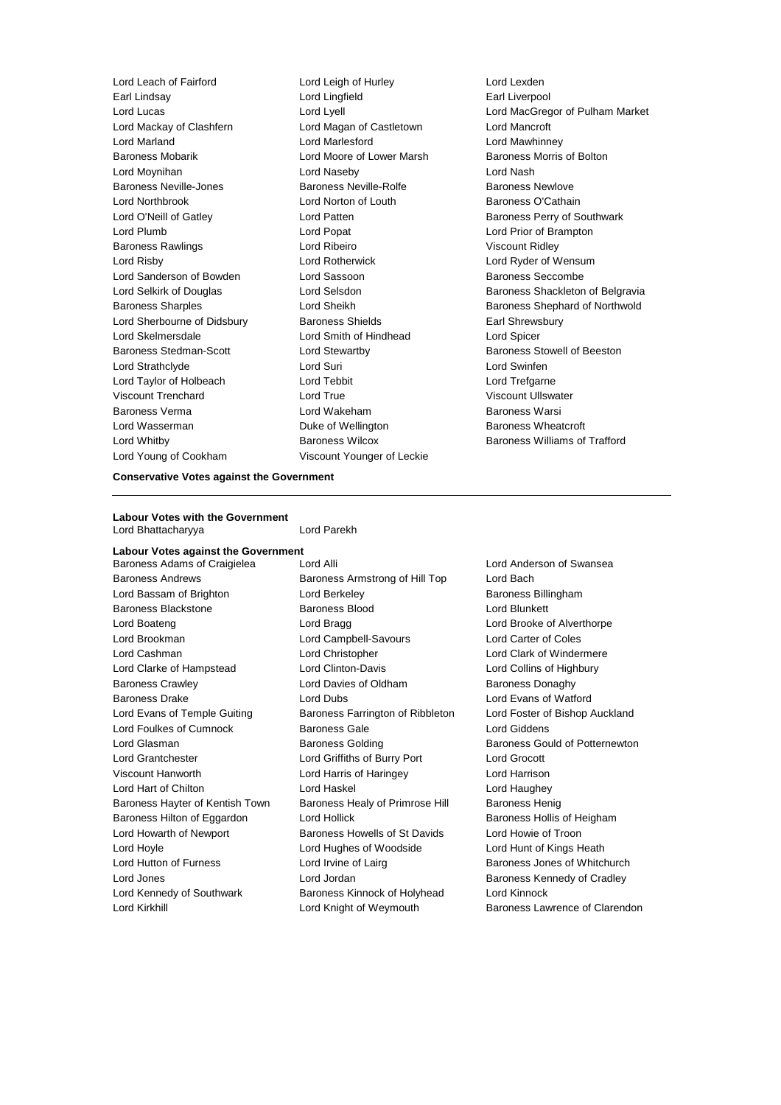Lord Leach of Fairford Lord Leigh of Hurley Lord Lexden Earl Lindsay Lord Lingfield Earl Liverpool Lord Lucas Lord Lyell Lord MacGregor of Pulham Market Lord Mackay of Clashfern Lord Magan of Castletown Lord Mancroft Lord Marland Lord Marlesford Lord Mawhinney Baroness Mobarik Lord Moore of Lower Marsh Baroness Morris of Bolton Lord Moynihan Lord Naseby Lord Nash Baroness Neville-Jones **Baroness Neville-Rolfe Baroness Newlove** Baroness Newlove Lord Northbrook **Lord Norton of Louth** Baroness O'Cathain Lord O'Neill of Gatley **Lord Patten** Lord Patten **Baroness Perry of Southwark** Lord Plumb Lord Popat Lord Prior of Brampton Baroness Rawlings **Lord Ribeiro Lord Ribeiro Viscount Ridley** Lord Risby Lord Rotherwick Lord Ryder of Wensum Lord Sanderson of Bowden Lord Sassoon and Baroness Seccombe Lord Selkirk of Douglas **Lord Selsdon** Baroness Shackleton of Belgravia Baroness Sharples Lord Sheikh Baroness Shephard of Northwold Lord Sherbourne of Didsbury **Baroness Shields** Earl Shrewsbury Lord Skelmersdale Lord Smith of Hindhead Lord Spicer Baroness Stedman-Scott **Lord Stewartby Baroness Stowell of Beeston** Lord Strathclyde Lord Suri Lord Swinfen Lord Taylor of Holbeach Lord Tebbit Lord Trefgarne Viscount Trenchard Lord True Viscount Ullswater Baroness Verma Lord Wakeham Baroness Warsi Lord Wasserman **Duke of Wellington** Baroness Wheatcroft Lord Whitby **Baroness Wilcox** Baroness Wilcox **Baroness Williams of Trafford** Lord Young of Cookham Viscount Younger of Leckie

**Conservative Votes against the Government**

### **Labour Votes with the Government** Lord Bhattacharyya Lord Parekh

**Labour Votes against the Government** Baroness Adams of Craigielea Lord Alli Lord Anderson of Swansea Baroness Andrews Baroness Armstrong of Hill Top Lord Bach Lord Bassam of Brighton **Lord Berkeley Baroness Billingham** Baroness Blackstone Baroness Blood Lord Blunkett Lord Boateng Lord Bragg Lord Brooke of Alverthorpe Lord Brookman Lord Campbell-Savours Lord Carter of Coles Lord Cashman Lord Christopher Lord Clark of Windermere Lord Clarke of Hampstead Lord Clinton-Davis Lord Collins of Highbury Baroness Crawley Lord Davies of Oldham Baroness Donaghy Baroness Drake **Lord Dubs** Lord Dubs **Lord Evans of Watford** Lord Evans of Temple Guiting Baroness Farrington of Ribbleton Lord Foster of Bishop Auckland Lord Foulkes of Cumnock Baroness Gale Lord Giddens Lord Glasman **Baroness Golding** Baroness Golding Baroness Gould of Potternewton Lord Grantchester Lord Griffiths of Burry Port Lord Grocott Viscount Hanworth Lord Harris of Haringey Lord Harrison Lord Hart of Chilton **Lord Haskel** Lord Haughey Lord Haughey Baroness Hayter of Kentish Town Baroness Healy of Primrose Hill Baroness Henig Baroness Hilton of Eggardon and Lord Hollick and Baroness Hollis of Heigham Lord Howarth of Newport Baroness Howells of St Davids Lord Howie of Troon Lord Hoyle Lord Hughes of Woodside Lord Hunt of Kings Heath Lord Hutton of Furness **Lord Irvine of Lairg** Baroness Jones of Whitchurch Lord Jones Lord Jordan Baroness Kennedy of Cradley Lord Kennedy of Southwark Baroness Kinnock of Holyhead Lord Kinnock Lord Kirkhill **Lord Kirkhill** Lord Knight of Weymouth **Baroness Lawrence of Clarendon**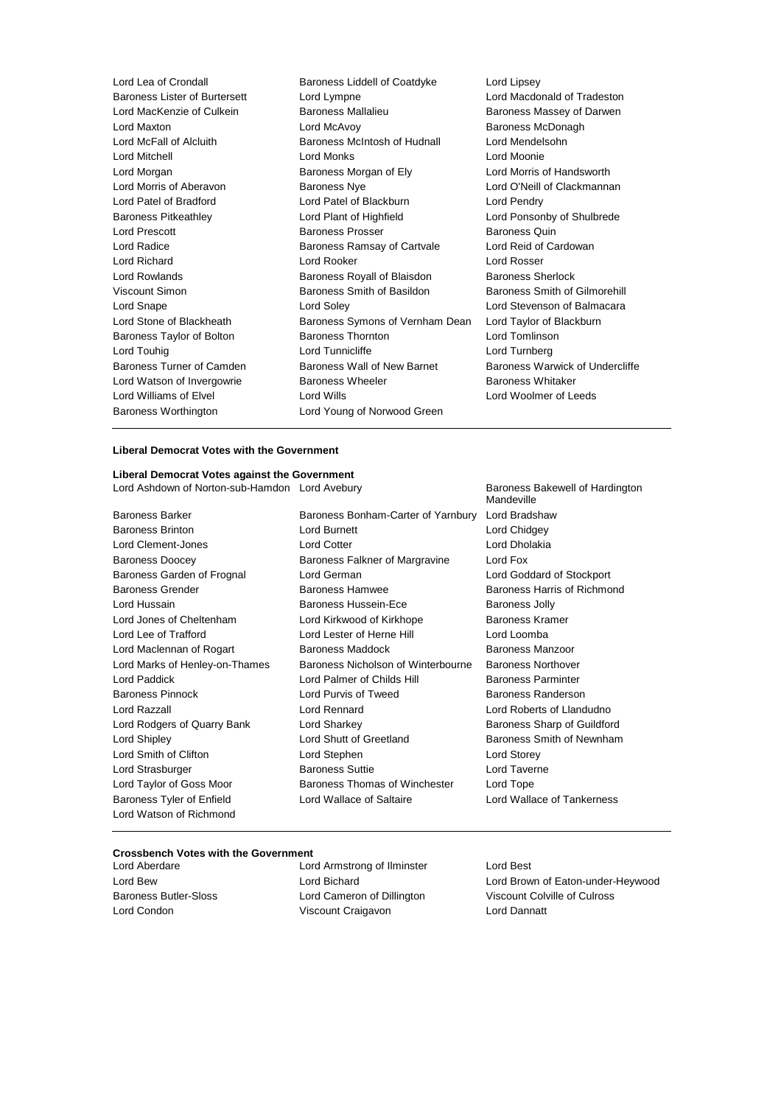Lord Lea of Crondall **Baroness Liddell of Coatdyke** Lord Lipsey<br>Baroness Lister of Burtersett Lord Lympne **Lord Lord Macdo** Lord Lympne **Lord Macdonald of Tradeston** Lord MacKenzie of Culkein Baroness Mallalieu Baroness Massey of Darwen Lord Maxton **Lord McAvoy** Cord McAvoy **Baroness McDonagh**<br>
Lord McFall of Alcluith **Baroness McIntosh of Hudnall** Cord Mendelsohn Baroness McIntosh of Hudnall **Lord Mendelsohn** Lord Mitchell Lord Monks Lord Moonie Lord Morgan Baroness Morgan of Ely Lord Morris of Handsworth Lord Morris of Aberavon Baroness Nye Lord O'Neill of Clackmannan Lord Patel of Bradford Lord Patel of Blackburn Lord Pendry Baroness Pitkeathley Lord Plant of Highfield Lord Ponsonby of Shulbrede Lord Prescott **Baroness Prosser** Baroness Prosser Baroness Quin Lord Radice **Baroness Ramsay of Cartvale** Lord Reid of Cardowan Lord Richard Lord Rooker Lord Rosser Lord Rowlands Baroness Royall of Blaisdon Baroness Sherlock Viscount Simon Baroness Smith of Basildon Baroness Smith of Gilmorehill Lord Snape Lord Soley Lord Stevenson of Balmacara Lord Stone of Blackheath Baroness Symons of Vernham Dean Lord Taylor of Blackburn Baroness Taylor of Bolton **Baroness Thornton** Baroness Thornton **Baroness** Thornton **Baroness** Thornton **Lord Tomlinson** Lord Touhig Lord Tunnicliffe Lord Turnberg Baroness Turner of Camden Baroness Wall of New Barnet Baroness Warwick of Undercliffe Lord Watson of Invergowrie **Baroness Wheeler** Baroness Whitaker Lord Williams of Elvel **Lord Wills** Lord Wills **Lord Woolmer of Leeds** Baroness Worthington Lord Young of Norwood Green

## **Liberal Democrat Votes with the Government**

### **Liberal Democrat Votes against the Government**

Lord Ashdown of Norton-sub-Hamdon Lord Avebury **Baroness Bakewell of Hardington** 

Baroness Tyler of Enfield Lord Wallace of Saltaire Lord Wallace of Tankerness Lord Watson of Richmond

Baroness Barker Baroness Bonham-Carter of Yarnbury Lord Bradshaw Baroness Brinton Lord Burnett Lord Chidgey Lord Clement-Jones Lord Cotter Lord Dholakia Baroness Doocey Baroness Falkner of Margravine Lord Fox Baroness Garden of Frognal Lord German Lord Goddard of Stockport Baroness Grender **Baroness Hammen** Baroness Hamwee **Baroness Hammen** Baroness Hammend Baroness Hammend Baroness Hammend Baroness Hammend Baroness Hammend Baroness Hammend Baroness Hammend Baroness Hammend Baroness Hammend Lord Hussain **Baroness Hussein-Ece** Baroness Jolly Lord Jones of Cheltenham Lord Kirkwood of Kirkhope Baroness Kramer Lord Lee of Trafford Lord Lester of Herne Hill Lord Loomba Lord Maclennan of Rogart **Baroness Maddock** Baroness Manzoor Lord Marks of Henley-on-Thames Baroness Nicholson of Winterbourne Baroness Northover Lord Paddick **Lord Palmer of Childs Hill Baroness Parminter** Baroness Pinnock **Lord Purvis of Tweed** Baroness Randerson Lord Razzall Lord Rennard Lord Roberts of Llandudno Lord Rodgers of Quarry Bank Lord Sharkey Baroness Sharp of Guildford Lord Shipley Lord Shutt of Greetland Baroness Smith of Newnham Lord Smith of Clifton Lord Stephen Lord Storey Lord Strasburger **Baroness Suttie Lord Taverne** Lord Taylor of Goss Moor Baroness Thomas of Winchester Lord Tope

Mandeville

## **Crossbench Votes with the Government**

Lord Aberdare Lord Armstrong of Ilminster Lord Best Lord Condon Viscount Craigavon Lord Dannatt

Lord Bew Lord Bichard Lord Brown of Eaton-under-Heywood Baroness Butler-Sloss Lord Cameron of Dillington Viscount Colville of Culross